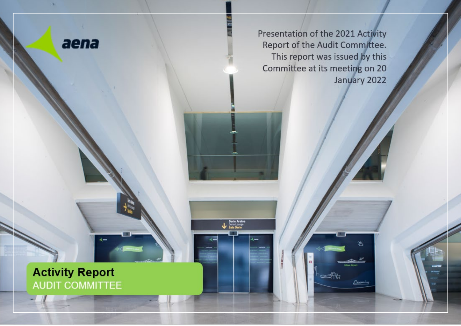

×

Presentation of the 2021 Activity Report of the Audit Committee. This report was issued by this Committee at its meeting on 20 January 2022

兴

Derio Aretoa<br>Lounge<br>Sala Derio

# **Activity Report AUDIT COMMITTEE**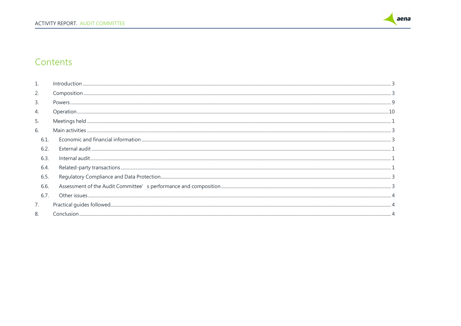

## Contents

|      | Introduction |
|------|--------------|
| 2.   |              |
| 3.   |              |
| 4.   |              |
| 5.   |              |
| 6.   |              |
| 6.1. |              |
| 6.2  |              |
| 6.3  |              |
| 6.4  |              |
| 6.5. |              |
| 6.6. |              |
| 6.7  |              |
| 7.   |              |
| 8.   |              |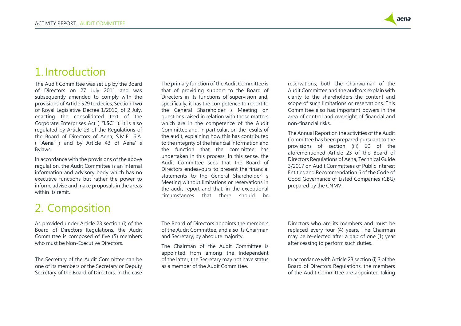

# <span id="page-2-0"></span>1.Introduction

The Audit Committee was set up by the Board of Directors on 27 July 2011 and was subsequently amended to comply with the provisions of Article 529 terdecies, Section Two of Royal Legislative Decree 1/2010, of 2 July, enacting the consolidated text of the Corporate Enterprises Act ("**LSC**"). It is also regulated by Article 23 of the Regulations of the Board of Directors of Aena, S.M.E., S.A. ("**Aena**") and by Article 43 of Aena's Bylaws.

In accordance with the provisions of the above regulation, the Audit Committee is an internal information and advisory body which has no executive functions but rather the power to inform, advise and make proposals in the areas within its remit

# <span id="page-2-1"></span>2. Composition

As provided under Article 23 section (i) of the Board of Directors Regulations, the Audit Committee is composed of five (5) members who must be Non-Executive Directors.

The Secretary of the Audit Committee can be one of its members or the Secretary or Deputy Secretary of the Board of Directors. In the case The primary function of the Audit Committee is that of providing support to the Board of Directors in its functions of supervision and, specifically, it has the competence to report to the General Shareholder's Meeting on questions raised in relation with those matters which are in the competence of the Audit Committee and, in particular, on the results of the audit, explaining how this has contributed to the integrity of the financial information and the function that the committee has undertaken in this process. In this sense, the Audit Committee sees that the Board of Directors endeavours to present the financial statements to the General Shareholder's Meeting without limitations or reservations in the audit report and that, in the exceptional circumstances that there should be

reservations, both the Chairwoman of the Audit Committee and the auditors explain with clarity to the shareholders the content and scope of such limitations or reservations. This Committee also has important powers in the area of control and oversight of financial and non-financial risks.

The Annual Report on the activities of the Audit Committee has been prepared pursuant to the provisions of section (iii) 20 of the aforementioned Article 23 of the Board of Directors Regulations of Aena, Technical Guide 3/2017 on Audit Committees of Public Interest Entities and Recommendation 6 of the Code of Good Governance of Listed Companies (CBG) prepared by the CNMV.

The Board of Directors appoints the members of the Audit Committee, and also its Chairman and Secretary, by absolute majority.

The Chairman of the Audit Committee is appointed from among the Independent of the latter, the Secretary may not have status as a member of the Audit Committee.

Directors who are its members and must be replaced every four (4) years. The Chairman may be re-elected after a gap of one (1) year after ceasing to perform such duties.

In accordance with Article 23 section (i).3 of the Board of Directors Regulations, the members of the Audit Committee are appointed taking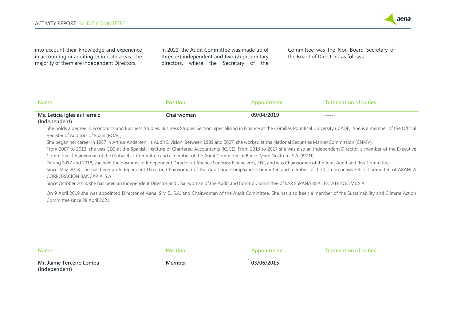

into account their knowledge and experience in accounting or auditing or in both areas. The majority of them are Independent Directors.

In 2021, the Audit Committee was made up of three (3) independent and two (2) proprietary directors, where the Secretary of the

Committee was the Non-Board Secretary of the Board of Directors, as follows:

| <b>Name</b>                                                                                                                                    | <b>Position</b> | Appointment | <b>Termination of duties</b> |
|------------------------------------------------------------------------------------------------------------------------------------------------|-----------------|-------------|------------------------------|
| Ms. Leticia Iglesias Herraiz<br>- Contractor Advised Advised Advised Advised Advised Advised Advised Advised Advised Advised Advised Advised A | .<br>hairwoman  | 09/04/2019  | -----                        |

#### **(Independent)**

She holds a degree in Economics and Business Studies. Business Studies Section, specialising in Finance at the Comillas Pontifical University (ICADE). She is a member of the Official Register of Auditors of Spain (ROAC).

She began her career in 1987 in Arthur Andersen's Audit Division. Between 1989 and 2007, she worked at the National Securities Market Commission (CNMV).

From 2007 to 2013, she was CEO at the Spanish Institute of Chartered Accountants (ICJCE). From 2013 to 2017 she was also an Independent Director, a member of the Executive Committee, Chairwoman of the Global Risk Committee and a member of the Audit Committee at Banco Mare Nostrum, S.A. (BMN).

During 2017 and 2018, she held the positions of Independent Director at Abanca Servicios Financieros, EFC, and was Chairwoman of the Joint Audit and Risk Committee.

Since May 2018, she has been an Independent Director, Chairwoman of the Audit and Compliance Committee and member of the Comprehensive Risk Committee of ABANCA CORPORACION BANCARIA, S.A.

Since October 2018, she has been an Independent Director and Chairwoman of the Audit and Control Committee of LAR ESPAÑA REAL ESTATE SOCIMI, S.A.

On 9 April 2019 she was appointed Director of Aena, S.M.E., S.A. and Chairwoman of the Audit Committee. She has also been a member of the Sustainability and Climate Action Committee since 28 April 2021.

| <b>Name</b>                               | Positior | Appointment | <b>Termination of duties</b> |
|-------------------------------------------|----------|-------------|------------------------------|
| Mr. Jaime Terceiro Lomba<br>(Independent) | Member   | 03/06/2015  | ------                       |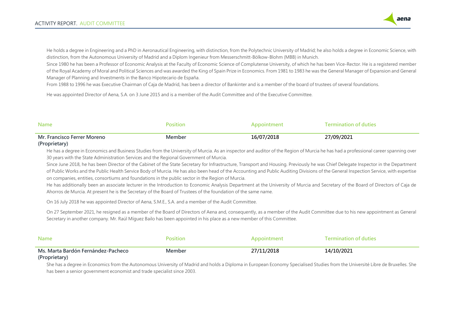

He holds a degree in Engineering and a PhD in Aeronautical Engineering, with distinction, from the Polytechnic University of Madrid; he also holds a degree in Economic Science, with distinction, from the Autonomous University of Madrid and a Diplom Ingenieur from Messerschmitt-Bölkow-Blohm (MBB) in Munich.

Since 1980 he has been a Professor of Economic Analysis at the Faculty of Economic Science of Complutense University, of which he has been Vice-Rector. He is a registered member of the Royal Academy of Moral and Political Sciences and was awarded the King of Spain Prize in Economics. From 1981 to 1983 he was the General Manager of Expansion and General Manager of Planning and Investments in the Banco Hipotecario de España.

From 1988 to 1996 he was Executive Chairman of Caja de Madrid, has been a director of Bankinter and is a member of the board of trustees of several foundations.

He was appointed Director of Aena, S.A. on 3 June 2015 and is a member of the Audit Committee and of the Executive Committee.

| <b>Name</b>                                  | Position      |            | <b>Cermination of duties</b> |
|----------------------------------------------|---------------|------------|------------------------------|
| Mr. Francisco Ferrer Moreno<br>(Proprietary) | <b>Member</b> | 16/07/2018 | 27/09/2021                   |

### He has a degree in Economics and Business Studies from the University of Murcia. As an inspector and auditor of the Region of Murcia he has had a professional career spanning over 30 years with the State Administration Services and the Regional Government of Murcia.

Since June 2018, he has been Director of the Cabinet of the State Secretary for Infrastructure, Transport and Housing. Previously he was Chief Delegate Inspector in the Department of Public Works and the Public Health Service Body of Murcia. He has also been head of the Accounting and Public Auditing Divisions of the General Inspection Service, with expertise on companies, entities, consortiums and foundations in the public sector in the Region of Murcia.

He has additionally been an associate lecturer in the Introduction to Economic Analysis Department at the University of Murcia and Secretary of the Board of Directors of Caja de Ahorros de Murcia. At present he is the Secretary of the Board of Trustees of the foundation of the same name.

On 16 July 2018 he was appointed Director of Aena, S.M.E., S.A. and a member of the Audit Committee.

On 27 September 2021, he resigned as a member of the Board of Directors of Aena and, consequently, as a member of the Audit Committee due to his new appointment as General Secretary in another company. Mr. Raúl Míguez Bailo has been appointed in his place as a new member of this Committee.

| <b>Name</b>                                         |        | Appointment | <b>Termination of duties</b> |
|-----------------------------------------------------|--------|-------------|------------------------------|
| Ms. Marta Bardón Fernández-Pacheco<br>(Proprietary) | Member | 27/11/2018  | 14/10/2021                   |

She has a degree in Economics from the Autonomous University of Madrid and holds a Diploma in European Economy Specialised Studies from the Université Libre de Bruxelles. She has been a senior government economist and trade specialist since 2003.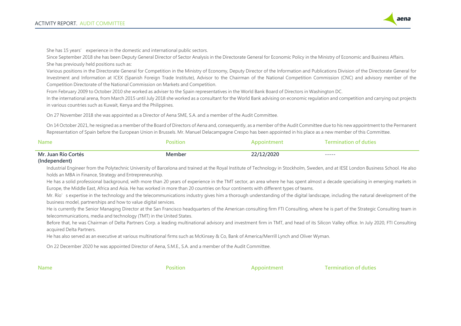

She has 15 years' experience in the domestic and international public sectors.

Since September 2018 she has been Deputy General Director of Sector Analysis in the Directorate General for Economic Policy in the Ministry of Economic and Business Affairs. She has previously held positions such as:

Various positions in the Directorate General for Competition in the Ministry of Economy, Deputy Director of the Information and Publications Division of the Directorate General for Investment and Information at ICEX (Spanish Foreign Trade Institute), Advisor to the Chairman of the National Competition Commission (CNC) and advisory member of the Competition Directorate of the National Commission on Markets and Competition.

From February 2009 to October 2010 she worked as adviser to the Spain representatives in the World Bank Board of Directors in Washington DC.

In the international arena, from March 2015 until July 2018 she worked as a consultant for the World Bank advising on economic regulation and competition and carrying out projects in various countries such as Kuwait, Kenya and the Philippines.

On 27 November 2018 she was appointed as a Director of Aena SME, S.A. and a member of the Audit Committee.

On 14 October 2021, he resigned as a member of the Board of Directors of Aena and, consequently, as a member of the Audit Committee due to his new appointment to the Permanent Representation of Spain before the European Union in Brussels. Mr. Manuel Delacampagne Crespo has been appointed in his place as a new member of this Committee.

| Name                | nsitio.  | noointmen | <b>Termination of duties</b> |
|---------------------|----------|-----------|------------------------------|
| Mr. Juan Río Cortés | .vlember | :/2020    | ------                       |

### **(Independent)**

Industrial Engineer from the Polytechnic University of Barcelona and trained at the Royal Institute of Technology in Stockholm, Sweden, and at IESE London Business School. He also holds an MBA in Finance, Strategy and Entrepreneurship.

He has a solid professional background, with more than 20 years of experience in the TMT sector, an area where he has spent almost a decade specialising in emerging markets in Europe, the Middle East, Africa and Asia. He has worked in more than 20 countries on four continents with different types of teams.

Mr. Río's expertise in the technology and the telecommunications industry gives him a thorough understanding of the digital landscape, including the natural development of the business model, partnerships and how to value digital services.

He is currently the Senior Managing Director at the San Francisco headquarters of the American consulting firm FTI Consulting, where he is part of the Strategic Consulting team in telecommunications, media and technology (TMT) in the United States.

Before that, he was Chairman of Delta Partners Corp. a leading multinational advisory and investment firm in TMT, and head of its Silicon Valley office. In July 2020, FTI Consulting acquired Delta Partners.

He has also served as an executive at various multinational firms such as McKinsey & Co, Bank of America/Merrill Lynch and Oliver Wyman.

On 22 December 2020 he was appointed Director of Aena, S.M.E., S.A. and a member of the Audit Committee.

**Name Position Position Appointment Termination of duties**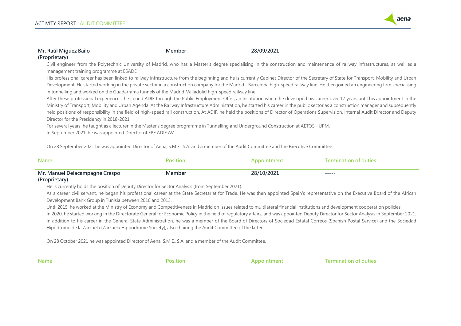

| Mr. Raúl Míguez Bailo                                                                                     | Member                                                                                                                                 | 28/09/2021  | -----                                                                                                                                                                                                                                                                                                                                                                                                                                                                                                                                                                 |  |
|-----------------------------------------------------------------------------------------------------------|----------------------------------------------------------------------------------------------------------------------------------------|-------------|-----------------------------------------------------------------------------------------------------------------------------------------------------------------------------------------------------------------------------------------------------------------------------------------------------------------------------------------------------------------------------------------------------------------------------------------------------------------------------------------------------------------------------------------------------------------------|--|
| (Proprietary)                                                                                             |                                                                                                                                        |             |                                                                                                                                                                                                                                                                                                                                                                                                                                                                                                                                                                       |  |
| management training programme at ESADE.                                                                   |                                                                                                                                        |             | Civil engineer from the Polytechnic University of Madrid, who has a Master's degree specialising in the construction and maintenance of railway infrastructures, as well as a                                                                                                                                                                                                                                                                                                                                                                                         |  |
|                                                                                                           | in tunnelling and worked on the Guadarrama tunnels of the Madrid-Valladolid high-speed railway line.                                   |             | His professional career has been linked to railway infrastructure from the beginning and he is currently Cabinet Director of the Secretary of State for Transport, Mobility and Urban<br>Development. He started working in the private sector in a construction company for the Madrid - Barcelona high-speed railway line. He then joined an engineering firm specialising                                                                                                                                                                                          |  |
|                                                                                                           |                                                                                                                                        |             | After these professional experiences, he joined ADIF through the Public Employment Offer, an institution where he developed his career over 17 years until his appointment in the<br>Ministry of Transport, Mobility and Urban Agenda. At the Railway Infrastructure Administration, he started his career in the public sector as a construction manager and subsequently<br>held positions of responsibility in the field of high-speed rail construction. At ADIF, he held the positions of Director of Operations Supervision, Internal Audit Director and Deputy |  |
| Director for the Presidency in 2018-2021.<br>In September 2021, he was appointed Director of EPE ADIF AV. | For several years, he taught as a lecturer in the Master's degree programme in Tunnelling and Underground Construction at AETOS - UPM. |             |                                                                                                                                                                                                                                                                                                                                                                                                                                                                                                                                                                       |  |
|                                                                                                           | On 28 September 2021 he was appointed Director of Aena, S.M.E., S.A. and a member of the Audit Committee and the Executive Committee.  |             |                                                                                                                                                                                                                                                                                                                                                                                                                                                                                                                                                                       |  |
| <b>Name</b>                                                                                               | <b>Position</b>                                                                                                                        | Appointment | <b>Termination of duties</b>                                                                                                                                                                                                                                                                                                                                                                                                                                                                                                                                          |  |

| Mr.<br>o      | $-0$ $-1$ | ------ |  |
|---------------|-----------|--------|--|
| (Dronrighton) |           |        |  |

#### **(Proprietary)**

He is currently holds the position of Deputy Director for Sector Analysis (from September 2021).

As a career civil servant, he began his professional career at the State Secretariat for Trade. He was then appointed Spain's representative on the Executive Board of the African Development Bank Group in Tunisia between 2010 and 2013.

Until 2015, he worked at the Ministry of Economy and Competitiveness in Madrid on issues related to multilateral financial institutions and development cooperation policies.

In 2020, he started working in the Directorate General for Economic Policy in the field of regulatory affairs, and was appointed Deputy Director for Sector Analysis in September 2021. In addition to his career in the General State Administration, he was a member of the Board of Directors of Sociedad Estatal Correos (Spanish Postal Service) and the Sociedad Hipódromo de la Zarzuela (Zarzuela Hippodrome Society), also chairing the Audit Committee of the latter.

On 28 October 2021 he was appointed Director of Aena, S.M.E., S.A. and a member of the Audit Committee.

**Name Position Position Appointment Termination of duties**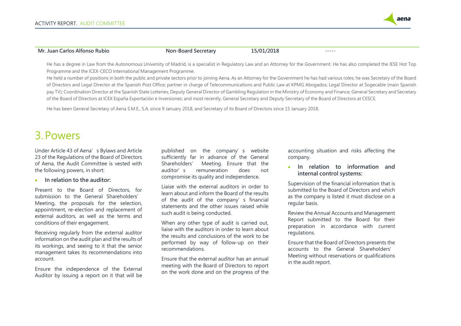

### **Mr. Juan Carlos Alfonso Rubio Non-Board Secretary 15/01/2018** -----

He has a degree in Law from the Autonomous University of Madrid, is a specialist in Regulatory Law and an Attorney for the Government. He has also completed the IESE Hot Top Programme and the ICEX-CECO International Management Programme.

He held a number of positions in both the public and private sectors prior to joining Aena. As an Attorney for the Government he has had various roles; he was Secretary of the Board of Directors and Legal Director at the Spanish Post Office; partner in charge of Telecommunications and Public Law at KPMG Abogados; Legal Director at Sogecable (main Spanish pay TV); Coordination Director at the Spanish State Lotteries; Deputy General Director of Gambling Regulation in the Ministry of Economy and Finance; General Secretary and Secretary of the Board of Directors at ICEX España Exportación e Inversiones; and most recently, General Secretary and Deputy Secretary of the Board of Directors at CESCE.

He has been General Secretary of Aena S.M.E., S.A. since 9 January 2018, and Secretary of its Board of Directors since 15 January 2018.

# <span id="page-7-0"></span>3.Powers

Under Article 43 of Aena's Bylaws and Article 23 of the Regulations of the Board of Directors of Aena, the Audit Committee is vested with the following powers, in short:

### • **In relation to the auditor:**

Present to the Board of Directors, for submission to the General Shareholders' Meeting, the proposals for the selection, appointment, re-election and replacement of external auditors, as well as the terms and conditions of their engagement.

Receiving regularly from the external auditor information on the audit plan and the results of its workings, and seeing to it that the senior management takes its recommendations into account.

Ensure the independence of the External Auditor by issuing a report on it that will be published on the company's website sufficiently far in advance of the General Shareholders' Meeting. Ensure that the auditor's remuneration does not compromise its quality and independence.

Liaise with the external auditors in order to learn about and inform the Board of the results of the audit of the company's financial statements and the other issues raised while such audit is being conducted.

When any other type of audit is carried out, liaise with the auditors in order to learn about the results and conclusions of the work to be performed by way of follow-up on their recommendations.

Ensure that the external auditor has an annual meeting with the Board of Directors to report on the work done and on the progress of the accounting situation and risks affecting the company.

### • **In relation to information and internal control systems:**

Supervision of the financial information that is submitted to the Board of Directors and which as the company is listed it must disclose on a regular basis.

Review the Annual Accounts and Management Report submitted to the Board for their preparation in accordance with current regulations.

Ensure that the Board of Directors presents the accounts to the General Shareholders' Meeting without reservations or qualifications in the audit report.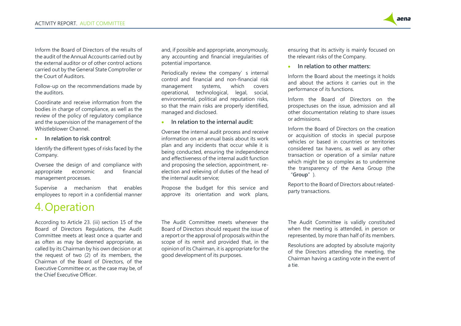Inform the Board of Directors of the results of the audit of the Annual Accounts carried out by the external auditor or of other control actions carried out by the General State Comptroller or the Court of Auditors.

Follow-up on the recommendations made by the auditors.

Coordinate and receive information from the bodies in charge of compliance, as well as the review of the policy of regulatory compliance and the supervision of the management of the Whistleblower Channel.

• **In relation to risk control**:

Identify the different types of risks faced by the Company.

Oversee the design of and compliance with appropriate economic and financial management processes.

Supervise a mechanism that enables employees to report in a confidential manner

# <span id="page-8-0"></span>4. Operation

According to Article 23. (iii) section 15 of the Board of Directors Regulations, the Audit Committee meets at least once a quarter and as often as may be deemed appropriate, as called by its Chairman by his own decision or at the request of two (2) of its members, the Chairman of the Board of Directors, of the Executive Committee or, as the case may be, of the Chief Executive Officer.

and, if possible and appropriate, anonymously, any accounting and financial irregularities of potential importance.

Periodically review the company's internal control and financial and non-financial risk management systems, which covers operational, technological, legal, social, environmental, political and reputation risks, so that the main risks are properly identified, managed and disclosed.

• **In relation to the internal audit:**

Oversee the internal audit process and receive information on an annual basis about its work plan and any incidents that occur while it is being conducted, ensuring the independence and effectiveness of the internal audit function and proposing the selection, appointment, reelection and relieving of duties of the head of the internal audit service;

Propose the budget for this service and approve its orientation and work plans, ensuring that its activity is mainly focused on the relevant risks of the Company.

aena

• **In relation to other matters:**

Inform the Board about the meetings it holds and about the actions it carries out in the performance of its functions.

Inform the Board of Directors on the prospectuses on the issue, admission and all other documentation relating to share issues or admissions.

Inform the Board of Directors on the creation or acquisition of stocks in special purpose vehicles or based in countries or territories considered tax havens, as well as any other transaction or operation of a similar nature which might be so complex as to undermine the transparency of the Aena Group (the "**Group**").

Report to the Board of Directors about relatedparty transactions.

The Audit Committee meets whenever the Board of Directors should request the issue of a report or the approval of proposals within the scope of its remit and provided that, in the opinion of its Chairman, it is appropriate for the good development of its purposes.

The Audit Committee is validly constituted when the meeting is attended, in person or represented, by more than half of its members.

Resolutions are adopted by absolute majority of the Directors attending the meeting, the Chairman having a casting vote in the event of a tie.

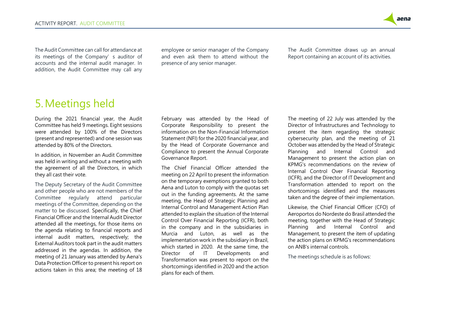

The Audit Committee can call for attendance at its meetings of the Company's auditor of accounts and the internal audit manager. In addition, the Audit Committee may call any

employee or senior manager of the Company and even ask them to attend without the presence of any senior manager.

The Audit Committee draws up an annual Report containing an account of its activities.

## <span id="page-9-0"></span>5.Meetings held

During the 2021 financial year, the Audit Committee has held 9 meetings. Eight sessions were attended by 100% of the Directors (present and represented) and one session was attended by 80% of the Directors.

In addition, in November an Audit Committee was held in writing and without a meeting with the agreement of all the Directors, in which they all cast their vote.

The Deputy Secretary of the Audit Committee and other people who are not members of the Committee regularly attend particular meetings of the Committee, depending on the matter to be discussed. Specifically, the Chief Financial Officer and the Internal Audit Director attended all the meetings, for those items on the agenda relating to financial reports and internal audit matters, respectively; the External Auditors took part in the audit matters addressed in the agendas. In addition, the meeting of 21 January was attended by Aena's Data Protection Officer to present his report on actions taken in this area; the meeting of 18 February was attended by the Head of Corporate Responsibility to present the information on the Non-Financial Information Statement (NFI) for the 2020 financial year, and by the Head of Corporate Governance and Compliance to present the Annual Corporate Governance Report.

The Chief Financial Officer attended the meeting on 22 April to present the information on the temporary exemptions granted to both Aena and Luton to comply with the quotas set out in the funding agreements. At the same meeting, the Head of Strategic Planning and Internal Control and Management Action Plan attended to explain the situation of the Internal Control Over Financial Reporting (ICFR), both in the company and in the subsidiaries in Murcia and Luton, as well as the implementation work in the subsidiary in Brazil, which started in 2020. At the same time, the Director of IT Developments and Transformation was present to report on the shortcomings identified in 2020 and the action plans for each of them.

The meeting of 22 July was attended by the Director of Infrastructures and Technology to present the item regarding the strategic cybersecurity plan, and the meeting of 21 October was attended by the Head of Strategic Planning and Internal Control and Management to present the action plan on KPMG's recommendations on the review of Internal Control Over Financial Reporting (ICFR), and the Director of IT Development and Transformation attended to report on the shortcomings identified and the measures taken and the degree of their implementation.

Likewise, the Chief Financial Officer (CFO) of Aeroportos do Nordeste do Brasil attended the meeting, together with the Head of Strategic Planning and Internal Control and Management, to present the item of updating the action plans on KPMG's recommendations on ANB's internal controls.

The meetings schedule is as follows: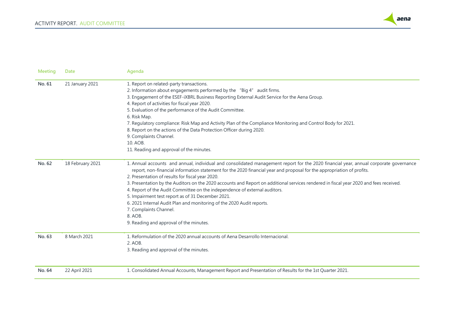

| Meeting | Date             | Agenda                                                                                                                                                                                                                                                          |
|---------|------------------|-----------------------------------------------------------------------------------------------------------------------------------------------------------------------------------------------------------------------------------------------------------------|
| No. 61  | 21 January 2021  | 1. Report on related-party transactions.                                                                                                                                                                                                                        |
|         |                  | 2. Information about engagements performed by the "Big 4" audit firms.                                                                                                                                                                                          |
|         |                  | 3. Engagement of the ESEF-iXBRL Business Reporting External Audit Service for the Aena Group.                                                                                                                                                                   |
|         |                  | 4. Report of activities for fiscal year 2020.                                                                                                                                                                                                                   |
|         |                  | 5. Evaluation of the performance of the Audit Committee.                                                                                                                                                                                                        |
|         |                  | 6. Risk Map.                                                                                                                                                                                                                                                    |
|         |                  | 7. Regulatory compliance: Risk Map and Activity Plan of the Compliance Monitoring and Control Body for 2021.                                                                                                                                                    |
|         |                  | 8. Report on the actions of the Data Protection Officer during 2020.                                                                                                                                                                                            |
|         |                  | 9. Complaints Channel.                                                                                                                                                                                                                                          |
|         |                  | 10. AOB.                                                                                                                                                                                                                                                        |
|         |                  | 11. Reading and approval of the minutes.                                                                                                                                                                                                                        |
| No. 62  | 18 February 2021 | 1. Annual accounts and annual, individual and consolidated management report for the 2020 financial year, annual corporate governance<br>report, non-financial information statement for the 2020 financial year and proposal for the appropriation of profits. |
|         |                  | 2. Presentation of results for fiscal year 2020.                                                                                                                                                                                                                |
|         |                  |                                                                                                                                                                                                                                                                 |
|         |                  | 3. Presentation by the Auditors on the 2020 accounts and Report on additional services rendered in fiscal year 2020 and fees received.                                                                                                                          |
|         |                  | 4. Report of the Audit Committee on the independence of external auditors.                                                                                                                                                                                      |
|         |                  | 5. Impairment test report as of 31 December 2021.                                                                                                                                                                                                               |
|         |                  | 6. 2021 Internal Audit Plan and monitoring of the 2020 Audit reports.                                                                                                                                                                                           |
|         |                  | 7. Complaints Channel.                                                                                                                                                                                                                                          |
|         |                  | 8. AOB.                                                                                                                                                                                                                                                         |
|         |                  | 9. Reading and approval of the minutes.                                                                                                                                                                                                                         |
| No. 63  | 8 March 2021     | 1. Reformulation of the 2020 annual accounts of Aena Desarrollo Internacional.                                                                                                                                                                                  |
|         |                  | 2. AOB.                                                                                                                                                                                                                                                         |
|         |                  | 3. Reading and approval of the minutes.                                                                                                                                                                                                                         |
|         |                  |                                                                                                                                                                                                                                                                 |
| No. 64  | 22 April 2021    | 1. Consolidated Annual Accounts, Management Report and Presentation of Results for the 1st Quarter 2021.                                                                                                                                                        |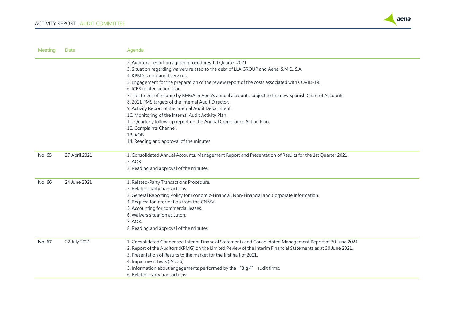

| <b>Meeting</b> | <b>Date</b>   | Agenda                                                                                                         |
|----------------|---------------|----------------------------------------------------------------------------------------------------------------|
|                |               | 2. Auditors' report on agreed procedures 1st Quarter 2021.                                                     |
|                |               | 3. Situation regarding waivers related to the debt of LLA GROUP and Aena, S.M.E., S.A.                         |
|                |               | 4. KPMG's non-audit services.                                                                                  |
|                |               | 5. Engagement for the preparation of the review report of the costs associated with COVID-19.                  |
|                |               | 6. ICFR related action plan.                                                                                   |
|                |               | 7. Treatment of income by RMGA in Aena's annual accounts subject to the new Spanish Chart of Accounts.         |
|                |               | 8. 2021 PMS targets of the Internal Audit Director.                                                            |
|                |               | 9. Activity Report of the Internal Audit Department.                                                           |
|                |               | 10. Monitoring of the Internal Audit Activity Plan.                                                            |
|                |               | 11. Quarterly follow-up report on the Annual Compliance Action Plan.                                           |
|                |               | 12. Complaints Channel.                                                                                        |
|                |               | 13. AOB.                                                                                                       |
|                |               | 14. Reading and approval of the minutes.                                                                       |
| No. 65         | 27 April 2021 | 1. Consolidated Annual Accounts, Management Report and Presentation of Results for the 1st Quarter 2021.       |
|                |               | 2. AOB.                                                                                                        |
|                |               | 3. Reading and approval of the minutes.                                                                        |
| No. 66         | 24 June 2021  | 1. Related-Party Transactions Procedure.                                                                       |
|                |               | 2. Related-party transactions.                                                                                 |
|                |               | 3. General Reporting Policy for Economic-Financial, Non-Financial and Corporate Information.                   |
|                |               | 4. Request for information from the CNMV.                                                                      |
|                |               | 5. Accounting for commercial leases.                                                                           |
|                |               | 6. Waivers situation at Luton.                                                                                 |
|                |               | 7. AOB.                                                                                                        |
|                |               | 8. Reading and approval of the minutes.                                                                        |
| No. 67         | 22 July 2021  | 1. Consolidated Condensed Interim Financial Statements and Consolidated Management Report at 30 June 2021.     |
|                |               | 2. Report of the Auditors (KPMG) on the Limited Review of the Interim Financial Statements as at 30 June 2021. |
|                |               | 3. Presentation of Results to the market for the first half of 2021.                                           |
|                |               | 4. Impairment tests (IAS 36).                                                                                  |
|                |               | 5. Information about engagements performed by the "Big 4" audit firms.                                         |
|                |               | 6. Related-party transactions.                                                                                 |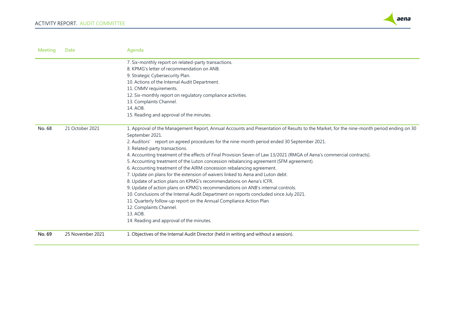

| <b>Meeting</b> | <b>Date</b>      | Agenda                                                                                                                                                     |
|----------------|------------------|------------------------------------------------------------------------------------------------------------------------------------------------------------|
|                |                  | 7. Six-monthly report on related-party transactions.                                                                                                       |
|                |                  | 8. KPMG's letter of recommendation on ANB.                                                                                                                 |
|                |                  | 9. Strategic Cybersecurity Plan.                                                                                                                           |
|                |                  | 10. Actions of the Internal Audit Department.                                                                                                              |
|                |                  | 11. CNMV requirements.                                                                                                                                     |
|                |                  | 12. Six-monthly report on regulatory compliance activities.                                                                                                |
|                |                  | 13. Complaints Channel.                                                                                                                                    |
|                |                  | 14. AOB.                                                                                                                                                   |
|                |                  | 15. Reading and approval of the minutes.                                                                                                                   |
| No. 68         | 21 October 2021  | 1. Approval of the Management Report, Annual Accounts and Presentation of Results to the Market, for the nine-month period ending on 30<br>September 2021. |
|                |                  | 2. Auditors' report on agreed procedures for the nine-month period ended 30 September 2021.                                                                |
|                |                  | 3. Related-party transactions.                                                                                                                             |
|                |                  | 4. Accounting treatment of the effects of Final Provision Seven of Law 13/2021 (RMGA of Aena's commercial contracts).                                      |
|                |                  | 5. Accounting treatment of the Luton concession rebalancing agreement (SFM agreement).                                                                     |
|                |                  | 6. Accounting treatment of the AIRM concession rebalancing agreement.                                                                                      |
|                |                  | 7. Update on plans for the extension of waivers linked to Aena and Luton debt.                                                                             |
|                |                  | 8. Update of action plans on KPMG's recommendations on Aena's ICFR.                                                                                        |
|                |                  | 9. Update of action plans on KPMG's recommendations on ANB's internal controls.                                                                            |
|                |                  | 10. Conclusions of the Internal Audit Department on reports concluded since July 2021.                                                                     |
|                |                  | 11. Quarterly follow-up report on the Annual Compliance Action Plan.                                                                                       |
|                |                  | 12. Complaints Channel.                                                                                                                                    |
|                |                  | 13. AOB.                                                                                                                                                   |
|                |                  | 14. Reading and approval of the minutes.                                                                                                                   |
| No. 69         | 25 November 2021 | 1. Objectives of the Internal Audit Director (held in writing and without a session).                                                                      |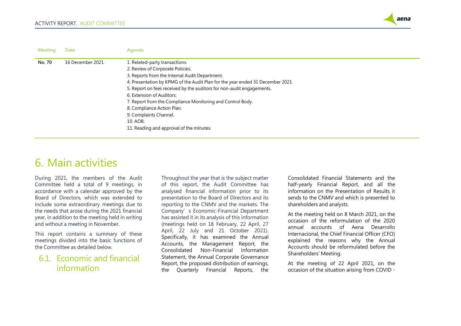

| <b>Meeting</b> | <b>Date</b>      | Agenda                                                                         |
|----------------|------------------|--------------------------------------------------------------------------------|
| No. 70         | 16 December 2021 | 1. Related-party transactions.                                                 |
|                |                  | 2. Review of Corporate Policies.                                               |
|                |                  | 3. Reports from the Internal Audit Department.                                 |
|                |                  | 4. Presentation by KPMG of the Audit Plan for the year ended 31 December 2021. |
|                |                  | 5. Report on fees received by the auditors for non-audit engagements.          |
|                |                  | 6. Extension of Auditors.                                                      |
|                |                  | 7. Report from the Compliance Monitoring and Control Body.                     |
|                |                  | 8. Compliance Action Plan.                                                     |
|                |                  | 9. Complaints Channel.                                                         |
|                |                  | 10. AOB.                                                                       |
|                |                  | 11. Reading and approval of the minutes.                                       |
|                |                  |                                                                                |

## <span id="page-13-0"></span>6. Main activities

During 2021, the members of the Audit Committee held a total of 9 meetings, in accordance with a calendar approved by the Board of Directors, which was extended to include some extraordinary meetings due to the needs that arose during the 2021 financial year, in addition to the meeting held in writing and without a meeting in November.

This report contains a summary of these meetings divided into the basic functions of the Committee as detailed below.

## <span id="page-13-1"></span>6.1. Economic and financial information

Throughout the year that is the subject matter of this report, the Audit Committee has analysed financial information prior to its presentation to the Board of Directors and its reporting to the CNMV and the markets. The Company's Economic-Financial Department has assisted it in its analysis of this information (meetings held on 18 February, 22 April, 27 April, 22 July and 21 October 2021). Specifically, it has examined the Annual Accounts, the Management Report, the Consolidated Non-Financial Information Statement, the Annual Corporate Governance Report, the proposed distribution of earnings, the Quarterly Financial Reports, the

Consolidated Financial Statements and the half-yearly Financial Report, and all the information on the Presentation of Results it sends to the CNMV and which is presented to shareholders and analysts.

At the meeting held on 8 March 2021, on the occasion of the reformulation of the 2020 annual accounts of Aena Desarrollo Internacional, the Chief Financial Officer (CFO) explained the reasons why the Annual Accounts should be reformulated before the Shareholders' Meeting.

At the meeting of 22 April 2021, on the occasion of the situation arising from COVID -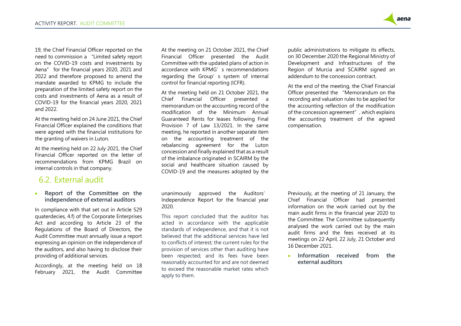

19, the Chief Financial Officer reported on the need to commission a "Limited safety report on the COVID-19 costs and investments by Aena" for the financial years 2020, 2021 and 2022 and therefore proposed to amend the mandate awarded to KPMG to include the preparation of the limited safety report on the costs and investments of Aena as a result of COVID-19 for the financial years 2020, 2021 and 2022.

At the meeting held on 24 June 2021, the Chief Financial Officer explained the conditions that were agreed with the financial institutions for the granting of waivers in Luton.

At the meeting held on 22 July 2021, the Chief Financial Officer reported on the letter of recommendations from KPMG Brazil on internal controls in that company.

### <span id="page-14-0"></span>6.2. External audit

• **Report of the Committee on the independence of external auditors**

In compliance with that set out in Article 529 quaterdecies, 4.f) of the Corporate Enterprises Act and according to Article 23 of the Regulations of the Board of Directors, the Audit Committee must annually issue a report expressing an opinion on the independence of the auditors, and also having to disclose their providing of additional services.

Accordingly, at the meeting held on 18 February 2021, the Audit Committee At the meeting on 21 October 2021, the Chief Financial Officer presented the Audit Committee with the updated plans of action in accordance with KPMG's recommendations regarding the Group's system of internal control for financial reporting (ICFR).

At the meeting held on 21 October 2021, the Chief Financial Officer presented a memorandum on the accounting record of the modification of the Minimum Annual Guaranteed Rents for leases following Final Provision 7 of Law 13/2021. In the same meeting, he reported in another separate item on the accounting treatment of the rebalancing agreement for the Luton concession and finally explained that as a result of the imbalance originated in SCAIRM by the social and healthcare situation caused by COVID-19 and the measures adopted by the

unanimously approved the Auditors' Independence Report for the financial year 2020.

This report concluded that the auditor has acted in accordance with the applicable standards of independence, and that it is not believed that the additional services have led to conflicts of interest; the current rules for the provision of services other than auditing have been respected; and its fees have been reasonably accounted for and are not deemed to exceed the reasonable market rates which apply to them.

public administrations to mitigate its effects, on 30 December 2020 the Regional Ministry of Development and Infrastructures of the Region of Murcia and SCAIRM signed an addendum to the concession contract.

At the end of the meeting, the Chief Financial Officer presented the "Memorandum on the recording and valuation rules to be applied for the accounting reflection of the modification of the concession agreement", which explains the accounting treatment of the agreed compensation.

Previously, at the meeting of 21 January, the Chief Financial Officer had presented information on the work carried out by the main audit firms in the financial year 2020 to the Committee. The Committee subsequently analysed the work carried out by the main audit firms and the fees received at its meetings on 22 April, 22 July, 21 October and 16 December 2021.

• **Information received from the external auditors**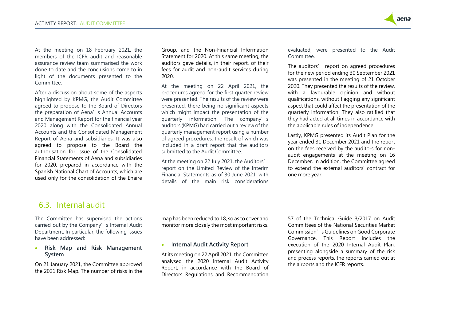

At the meeting on 18 February 2021, the members of the ICFR audit and reasonable assurance review team summarised the work done to date and the conclusions come to in light of the documents presented to the Committee.

After a discussion about some of the aspects highlighted by KPMG, the Audit Committee agreed to propose to the Board of Directors the preparation of Aena's Annual Accounts and Management Report for the financial year 2020 along with the Consolidated Annual Accounts and the Consolidated Management Report of Aena and subsidiaries. It was also agreed to propose to the Board the authorisation for issue of the Consolidated Financial Statements of Aena and subsidiaries for 2020, prepared in accordance with the Spanish National Chart of Accounts, which are used only for the consolidation of the Enaire

Group, and the Non-Financial Information Statement for 2020. At this same meeting, the auditors gave details, in their report, of their fees for audit and non-audit services during 2020.

At the meeting on 22 April 2021, the procedures agreed for the first quarter review were presented. The results of the review were presented, there being no significant aspects which might impact the presentation of the quarterly information. The company's auditors (KPMG) had carried out a review of the quarterly management report using a number of agreed procedures, the result of which was included in a draft report that the auditors submitted to the Audit Committee.

At the meeting on 22 July 2021, the Auditors' report on the Limited Review of the Interim Financial Statements as of 30 June 2021, with details of the main risk considerations evaluated, were presented to the Audit Committee.

The auditors' report on agreed procedures for the new period ending 30 September 2021 was presented in the meeting of 21 October 2020. They presented the results of the review, with a favourable opinion and without qualifications, without flagging any significant aspect that could affect the presentation of the quarterly information. They also ratified that they had acted at all times in accordance with the applicable rules of independence.

Lastly, KPMG presented its Audit Plan for the year ended 31 December 2021 and the report on the fees received by the auditors for nonaudit engagements at the meeting on 16 December. In addition, the Committee agreed to extend the external auditors' contract for one more year.

### <span id="page-15-0"></span>6.3. Internal audit

The Committee has supervised the actions carried out by the Company's Internal Audit Department. In particular, the following issues have been addressed:

• **Risk Map and Risk Management System**

On 21 January 2021, the Committee approved the 2021 Risk Map. The number of risks in the map has been reduced to 18, so as to cover and monitor more closely the most important risks.

### • **Internal Audit Activity Report**

At its meeting on 22 April 2021, the Committee analysed the 2020 Internal Audit Activity Report, in accordance with the Board of Directors Regulations and Recommendation

57 of the Technical Guide 3/2017 on Audit Committees of the National Securities Market Commission's Guidelines on Good Corporate Governance. This Report includes the execution of the 2020 Internal Audit Plan, presenting alongside a summary of the risk and process reports, the reports carried out at the airports and the ICFR reports.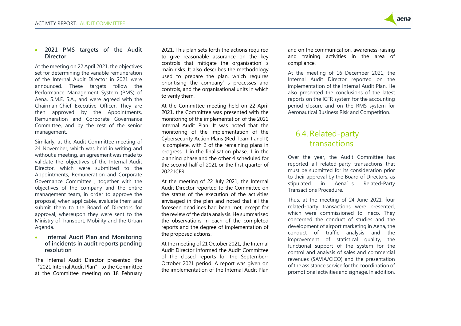

#### • **2021 PMS targets of the Audit Director**

At the meeting on 22 April 2021, the objectives set for determining the variable remuneration of the Internal Audit Director in 2021 were announced. These targets follow the Performance Management System (PMS) of Aena, S.M.E, S.A., and were agreed with the Chairman-Chief Executive Officer. They are then approved by the Appointments, Remuneration and Corporate Governance Committee, and by the rest of the senior management.

Similarly, at the Audit Committee meeting of 24 November, which was held in writing and without a meeting, an agreement was made to validate the objectives of the Internal Audit Director, which were submitted to the Appointments, Remuneration and Corporate Governance Committee , together with the objectives of the company and the entire management team, in order to approve the proposal, when applicable, evaluate them and submit them to the Board of Directors for approval, whereupon they were sent to the Ministry of Transport, Mobility and the Urban Agenda.

### • **Internal Audit Plan and Monitoring of incidents in audit reports pending resolution**

The Internal Audit Director presented the "2021 Internal Audit Plan" to the Committee at the Committee meeting on 18 February 2021. This plan sets forth the actions required to give reasonable assurance on the key controls that mitigate the organisation's main risks. It also describes the methodology used to prepare the plan, which requires prioritising the company's processes and controls, and the organisational units in which to verify them.

At the Committee meeting held on 22 April 2021, the Committee was presented with the monitoring of the implementation of the 2021 Internal Audit Plan. It was noted that the monitoring of the implementation of the Cybersecurity Action Plans (Red Team I and II) is complete, with 2 of the remaining plans in progress, 1 in the finalisation phase, 1 in the planning phase and the other 4 scheduled for the second half of 2021 or the first quarter of 2022 ICFR.

At the meeting of 22 July 2021, the Internal Audit Director reported to the Committee on the status of the execution of the activities envisaged in the plan and noted that all the foreseen deadlines had been met, except for the review of the data analysis. He summarised the observations in each of the completed reports and the degree of implementation of the proposed actions.

At the meeting of 21 October 2021, the Internal Audit Director informed the Audit Committee of the closed reports for the September-October 2021 period. A report was given on the implementation of the Internal Audit Plan

and on the communication, awareness-raising and training activities in the area of compliance.

At the meeting of 16 December 2021, the Internal Audit Director reported on the implementation of the Internal Audit Plan. He also presented the conclusions of the latest reports on the ICFR system for the accounting period closure and on the RMS system for Aeronautical Business Risk and Competition.

## <span id="page-16-0"></span>6.4. Related-party transactions

Over the year, the Audit Committee has reported all related-party transactions that must be submitted for its consideration prior to their approval by the Board of Directors, as stipulated in Aena's Related-Party Transactions Procedure.

Thus, at the meeting of 24 June 2021, four related-party transactions were presented, which were commissioned to Ineco. They concerned the conduct of studies and the development of airport marketing in Aena, the conduct of traffic analysis and the improvement of statistical quality, the functional support of the system for the control and analysis of sales and commercial revenues (SAVIA/CICO) and the presentation of the assistance service for the coordination of promotional activities and signage. In addition,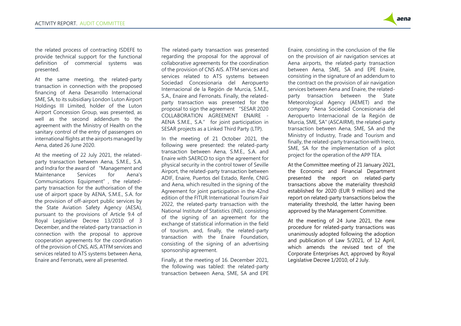

the related process of contracting ISDEFE to provide technical support for the functional definition of commercial systems was presented.

At the same meeting, the related-party transaction in connection with the proposed financing of Aena Desarrollo Internacional SME, SA, to its subsidiary London Luton Airport Holdings III Limited, holder of the Luton Airport Concession Group, was presented, as well as the second addendum to the agreement with the Ministry of Health on the sanitary control of the entry of passengers on international flights at the airports managed by Aena, dated 26 June 2020.

At the meeting of 22 July 2021, the relatedparty transaction between Aena, S.M.E., S.A. and Indra for the award of "Management and Maintenance Services for Aena's Communications Equipment", the relatedparty transaction for the authorisation of the use of airport space by AENA, S.M.E., S.A. for the provision of off-airport public services by the State Aviation Safety Agency (AESA), pursuant to the provisions of Article 9.4 of Royal Legislative Decree 13/2010 of 3 December, and the related-party transaction in connection with the proposal to approve cooperation agreements for the coordination of the provision of CNS, AIS, ATFM services and services related to ATS systems between Aena, Enaire and Ferronats, were all presented.

The related-party transaction was presented regarding the proposal for the approval of collaborative agreements for the coordination of the provision of CNS AIS. ATFM services and services related to ATS systems between Sociedad Concesionaria del Aeropuerto Internacional de la Región de Murcia, S.M.E., S.A., Enaire and Ferronats. Finally, the relatedparty transaction was presented for the proposal to sign the agreement "SESAR 2020 COLLABORATION AGREEMENT ENAIRE - AENA S.M.E., S.A." for joint participation in SESAR projects as a Linked Third Party (LTP).

In the meeting of 21 October 2021, the following were presented: the related-party transaction between Aena, S.M.E., S.A. and Enaire with SAERCO to sign the agreement for physical security in the control tower of Seville Airport, the related-party transaction between ADIF, Enaire, Puertos del Estado, Renfe, CNIG and Aena, which resulted in the signing of the Agreement for joint participation in the 42nd edition of the FITUR International Tourism Fair 2022, the related-party transaction with the National Institute of Statistics (INE), consisting of the signing of an agreement for the exchange of statistical information in the field of tourism, and, finally, the related-party transaction with the Enaire Foundation, consisting of the signing of an advertising sponsorship agreement.

Finally, at the meeting of 16. December 2021, the following was tabled: the related-party transaction between Aena, SME, SA and EPE

Enaire, consisting in the conclusion of the file on the provision of air navigation services at Aena airports, the related-party transaction between Aena, SME, SA and EPE Enaire, consisting in the signature of an addendum to the contract on the provision of air navigation services between Aena and Enaire, the relatedparty transaction between the State Meteorological Agency (AEMET) and the company "Aena Sociedad Concesionaria del Aeropuerto Internacional de la Región de Murcia, SME, SA" (ASCAIRM), the related-party transaction between Aena, SME, SA and the Ministry of Industry, Trade and Tourism and finally, the related-party transaction with Ineco, SME, SA for the implementation of a pilot project for the operation of the APP TEA.

At the Committee meeting of 21 January 2021, the Economic and Financial Department presented the report on related-party transactions above the materiality threshold established for 2020 (EUR 9 million) and the report on related-party transactions below the materiality threshold, the latter having been approved by the Management Committee.

At the meeting of 24 June 2021, the new procedure for related-party transactions was unanimously adopted following the adoption and publication of Law 5/2021, of 12 April, which amends the revised text of the Corporate Enterprises Act, approved by Royal Legislative Decree 1/2010, of 2 July.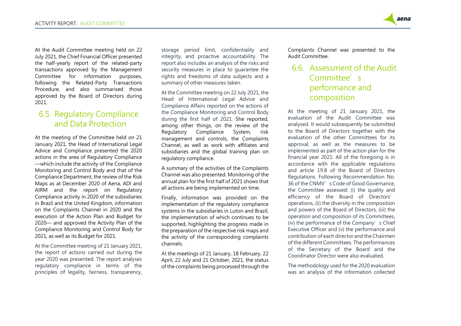

At the Audit Committee meeting held on 22 July 2021, the Chief Financial Officer presented the half-yearly report of the related-party transactions approved by the Management Committee for information purposes, following the Related-Party Transactions Procedure, and also summarised those approved by the Board of Directors during 2021.

## <span id="page-18-0"></span>6.5. Regulatory Compliance and Data Protection

At the meeting of the Committee held on 21 January 2021, the Head of International Legal Advice and Compliance presented the 2020 actions in the area of Regulatory Compliance —which include the activity of the Compliance Monitoring and Control Body and that of the Compliance Department, the review of the Risk Maps as at December 2020 of Aena, ADI and AIRM and the report on Regulatory Compliance activity in 2020 of the subsidiaries in Brazil and the United Kingdom, information on the Complaints Channel in 2020 and the execution of the Action Plan and Budget for 2020— and approved the Activity Plan of the Compliance Monitoring and Control Body for 2021, as well as its Budget for 2021.

At the Committee meeting of 21 January 2021, the report of actions carried out during the year 2020 was presented. The report analyses regulatory compliance in terms of the principles of legality, fairness, transparency,

storage period limit, confidentiality and integrity, and proactive accountability. The report also includes an analysis of the risks and security measures in place to guarantee the rights and freedoms of data subjects and a summary of other measures taken.

At the Committee meeting on 22 July 2021, the Head of International Legal Advice and Compliance Affairs reported on the actions of the Compliance Monitoring and Control Body during the first half of 2021. She reported, among other things, on the review of the<br>Regulatory Compliance System, risk Regulatory Compliance System, risk management and controls, the Complaints Channel, as well as work with affiliates and subsidiaries and the global training plan on regulatory compliance.

A summary of the activities of the Complaints Channel was also presented. Monitoring of the annual plan for the first half of 2021 shows that all actions are being implemented on time.

Finally, information was provided on the implementation of the regulatory compliance systems in the subsidiaries in Luton and Brazil, the implementation of which continues to be supported, highlighting the progress made in the preparation of the respective risk maps and the activity of the corresponding complaints channels.

At the meetings of 21 January, 18 February, 22 April, 22 July and 21 October, 2021, the status of the complaints being processed through the Complaints Channel was presented to the Audit Committee.

## <span id="page-18-1"></span>6.6. Assessment of the Audit Committee's performance and composition

At the meeting of 21 January 2021, the evaluation of the Audit Committee was analysed. It would subsequently be submitted to the Board of Directors together with the evaluation of the other Committees for its approval, as well as the measures to be implemented as part of the action plan for the financial year 2021. All of the foregoing is in accordance with the applicable regulations and article 19.8 of the Board of Directors Regulations. Following Recommendation No. 36 of the CNMV's Code of Good Governance. the Committee assessed: (i) the quality and efficiency of the Board of Directors' operations, (ii) the diversity in the composition and powers of the Board of Directors, (iii) the operation and composition of its Committees, (iv) the performance of the Company's Chief Executive Officer and (v) the performance and contribution of each director and the Chairmen of the different Committees. The performances of the Secretary of the Board and the Coordinator Director were also evaluated.

The methodology used for the 2020 evaluation was an analysis of the information collected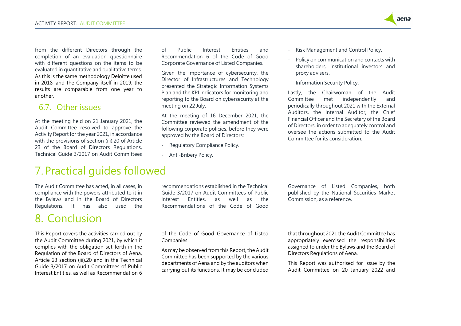from the different Directors through the completion of an evaluation questionnaire with different questions on the items to be evaluated in quantitative and qualitative terms. As this is the same methodology Deloitte used in 2018, and the Company itself in 2019, the results are comparable from one year to another.

### <span id="page-19-0"></span>6.7. Other issues

At the meeting held on 21 January 2021, the Audit Committee resolved to approve the Activity Report for the year 2021, in accordance with the provisions of section (iii).20 of Article 23 of the Board of Directors Regulations, Technical Guide 3/2017 on Audit Committees

of Public Interest Entities and Recommendation 6 of the Code of Good Corporate Governance of Listed Companies.

Given the importance of cybersecurity, the Director of Infrastructures and Technology presented the Strategic Information Systems Plan and the KPI indicators for monitoring and reporting to the Board on cybersecurity at the meeting on 22 July.

At the meeting of 16 December 2021, the Committee reviewed the amendment of the following corporate policies, before they were approved by the Board of Directors:

- Regulatory Compliance Policy.
- Anti-Bribery Policy.

- Risk Management and Control Policy.

- Policy on communication and contacts with shareholders, institutional investors and proxy advisers.

- Information Security Policy.

Lastly, the Chairwoman of the Audit Committee met independently and periodically throughout 2021 with the External Auditors, the Internal Auditor, the Chief Financial Officer and the Secretary of the Board of Directors, in order to adequately control and oversee the actions submitted to the Audit Committee for its consideration.

## <span id="page-19-1"></span>7.Practical guides followed

The Audit Committee has acted, in all cases, in compliance with the powers attributed to it in the Bylaws and in the Board of Directors Regulations. It has also used the

# <span id="page-19-2"></span>8. Conclusion

This Report covers the activities carried out by the Audit Committee during 2021, by which it complies with the obligation set forth in the Regulation of the Board of Directors of Aena, Article 23 section (iii).20 and in the Technical Guide 3/2017 on Audit Committees of Public Interest Entities, as well as Recommendation 6 recommendations established in the Technical Guide 3/2017 on Audit Committees of Public Interest Entities, as well as the Recommendations of the Code of Good

of the Code of Good Governance of Listed Companies.

As may be observed from this Report, the Audit Committee has been supported by the various departments of Aena and by the auditors when carrying out its functions. It may be concluded Governance of Listed Companies, both published by the National Securities Market Commission, as a reference.

that throughout 2021 the Audit Committee has appropriately exercised the responsibilities assigned to under the Bylaws and the Board of Directors Regulations of Aena.

This Report was authorised for issue by the Audit Committee on 20 January 2022 and